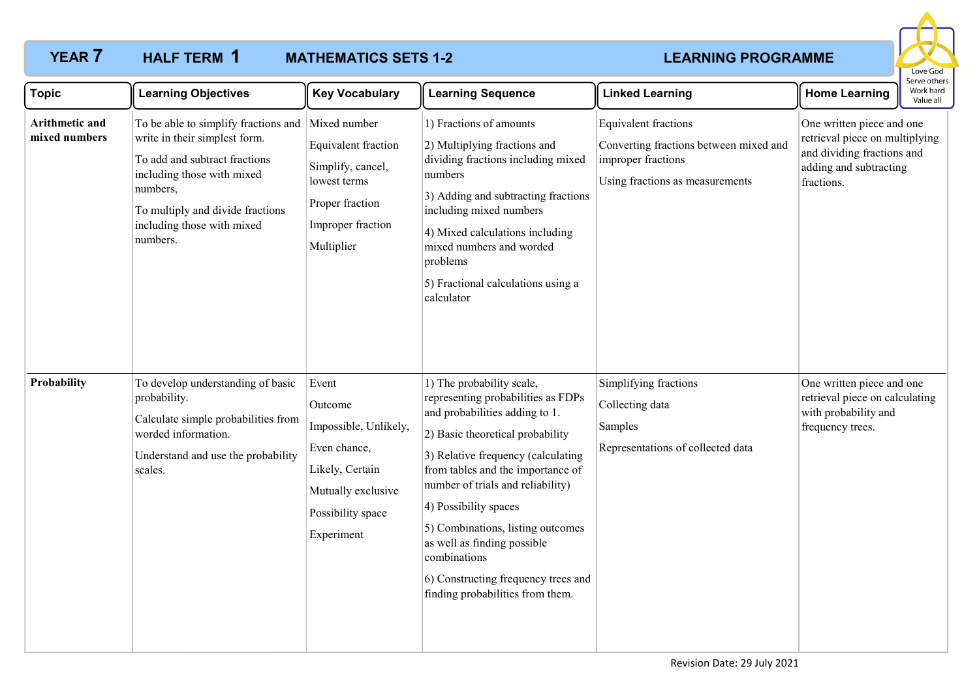

| <b>Topic</b>                    | <b>Learning Objectives</b>                                                                                                                                                                                                     | <b>Key Vocabulary</b>                                                                                                                 | <b>Learning Sequence</b>                                                                                                                                                                                                                                                                                                                                                                                                                      | <b>Linked Learning</b>                                                                                                         | <b>Home Learning</b>                                                                                                              | Serve others<br>Work hard<br>Value all |
|---------------------------------|--------------------------------------------------------------------------------------------------------------------------------------------------------------------------------------------------------------------------------|---------------------------------------------------------------------------------------------------------------------------------------|-----------------------------------------------------------------------------------------------------------------------------------------------------------------------------------------------------------------------------------------------------------------------------------------------------------------------------------------------------------------------------------------------------------------------------------------------|--------------------------------------------------------------------------------------------------------------------------------|-----------------------------------------------------------------------------------------------------------------------------------|----------------------------------------|
| Arithmetic and<br>mixed numbers | To be able to simplify fractions and<br>write in their simplest form.<br>To add and subtract fractions<br>including those with mixed<br>numbers,<br>To multiply and divide fractions<br>including those with mixed<br>numbers. | Mixed number<br>Equivalent fraction<br>Simplify, cancel,<br>lowest terms<br>Proper fraction<br>Improper fraction<br>Multiplier        | 1) Fractions of amounts<br>2) Multiplying fractions and<br>dividing fractions including mixed<br>numbers<br>3) Adding and subtracting fractions<br>including mixed numbers<br>4) Mixed calculations including<br>mixed numbers and worded<br>problems<br>5) Fractional calculations using a<br>calculator                                                                                                                                     | <b>Equivalent</b> fractions<br>Converting fractions between mixed and<br>improper fractions<br>Using fractions as measurements | One written piece and one<br>retrieval piece on multiplying<br>and dividing fractions and<br>adding and subtracting<br>fractions. |                                        |
| Probability                     | To develop understanding of basic<br>probability.<br>Calculate simple probabilities from<br>worded information.<br>Understand and use the probability<br>scales.                                                               | Event<br>Outcome<br>Impossible, Unlikely,<br>Even chance,<br>Likely, Certain<br>Mutually exclusive<br>Possibility space<br>Experiment | 1) The probability scale,<br>representing probabilities as FDPs<br>and probabilities adding to 1.<br>2) Basic theoretical probability<br>3) Relative frequency (calculating<br>from tables and the importance of<br>number of trials and reliability)<br>4) Possibility spaces<br>5) Combinations, listing outcomes<br>as well as finding possible<br>combinations<br>6) Constructing frequency trees and<br>finding probabilities from them. | Simplifying fractions<br>Collecting data<br>Samples<br>Representations of collected data                                       | One written piece and one<br>retrieval piece on calculating<br>with probability and<br>frequency trees.                           |                                        |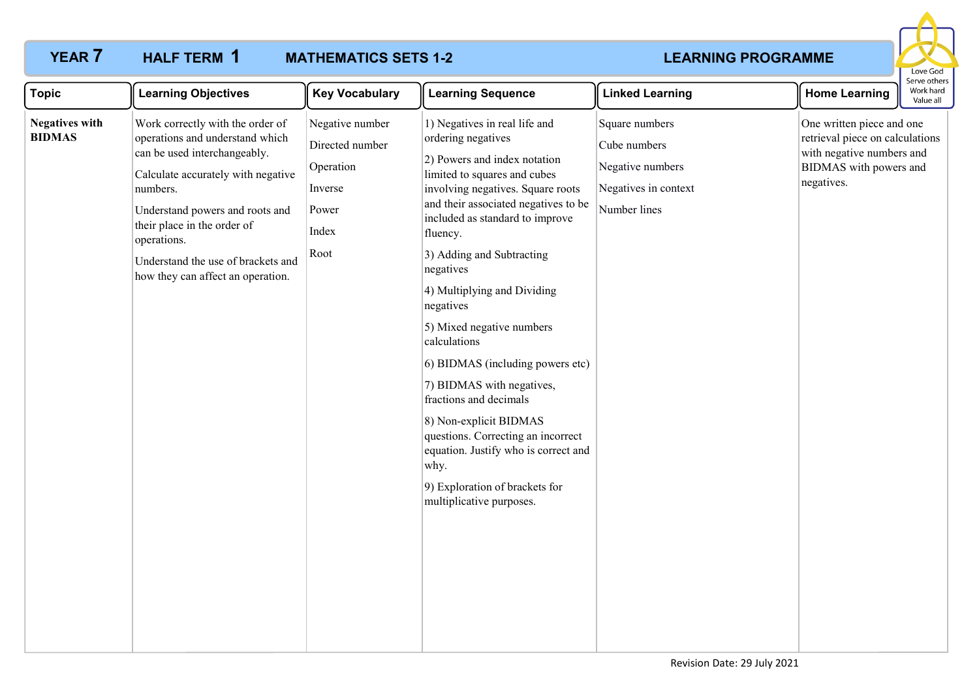HALF TERM 1



| <b>Topic</b><br><b>Learning Objectives</b>                                                                                                                                                                                                                                                                                                                  | <b>Key Vocabulary</b>                                                                | <b>Learning Sequence</b>                                                                                                                                                                                                                                                                                                                                                                                                                                                                                                                                                                                                                                    | <b>Linked Learning</b>                                                                     | <b>Home Learning</b>                                                                                                              | Work hard<br>Value all |  |
|-------------------------------------------------------------------------------------------------------------------------------------------------------------------------------------------------------------------------------------------------------------------------------------------------------------------------------------------------------------|--------------------------------------------------------------------------------------|-------------------------------------------------------------------------------------------------------------------------------------------------------------------------------------------------------------------------------------------------------------------------------------------------------------------------------------------------------------------------------------------------------------------------------------------------------------------------------------------------------------------------------------------------------------------------------------------------------------------------------------------------------------|--------------------------------------------------------------------------------------------|-----------------------------------------------------------------------------------------------------------------------------------|------------------------|--|
| Work correctly with the order of<br><b>Negatives with</b><br><b>BIDMAS</b><br>operations and understand which<br>can be used interchangeably.<br>Calculate accurately with negative<br>numbers.<br>Understand powers and roots and<br>their place in the order of<br>operations.<br>Understand the use of brackets and<br>how they can affect an operation. | Negative number<br>Directed number<br>Operation<br>Inverse<br>Power<br>Index<br>Root | 1) Negatives in real life and<br>ordering negatives<br>2) Powers and index notation<br>limited to squares and cubes<br>involving negatives. Square roots<br>and their associated negatives to be<br>included as standard to improve<br>fluency.<br>3) Adding and Subtracting<br>negatives<br>4) Multiplying and Dividing<br>negatives<br>5) Mixed negative numbers<br>calculations<br>6) BIDMAS (including powers etc)<br>7) BIDMAS with negatives,<br>fractions and decimals<br>8) Non-explicit BIDMAS<br>questions. Correcting an incorrect<br>equation. Justify who is correct and<br>why.<br>9) Exploration of brackets for<br>multiplicative purposes. | Square numbers<br>Cube numbers<br>Negative numbers<br>Negatives in context<br>Number lines | One written piece and one<br>retrieval piece on calculations<br>with negative numbers and<br>BIDMAS with powers and<br>negatives. |                        |  |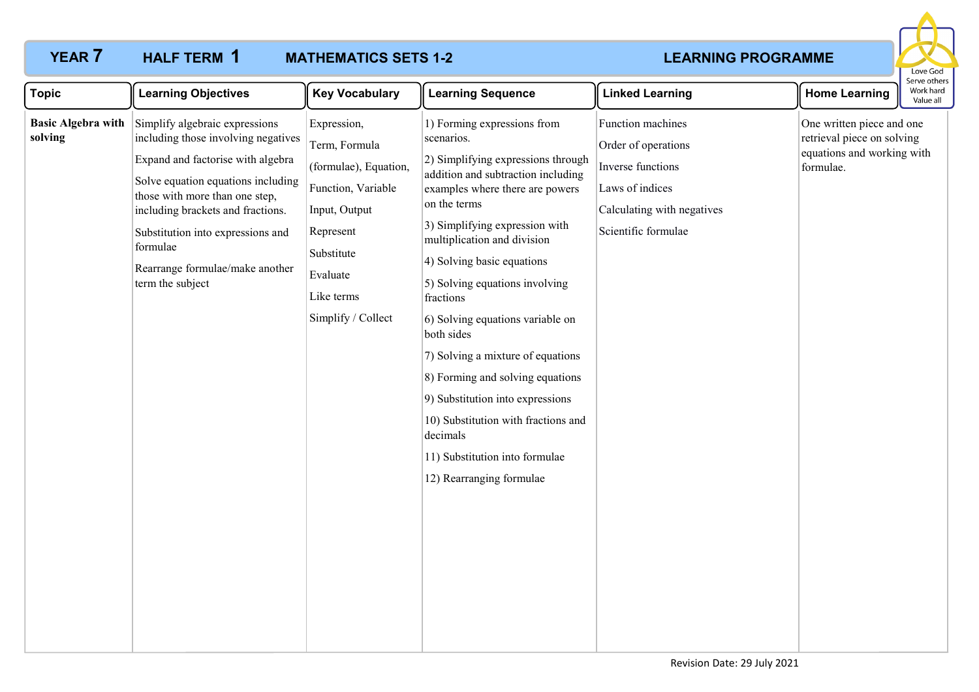### **YEAR 7 HALF TERM 1 MATHEMATICS SETS 1-2 THEARNING PROGRAMME MATHEMATICS SETS 1-2 HALF TERM 1**



| <b>Topic</b>                         | <b>Learning Objectives</b>                                                                                                                                                                                                                                                                                                      | <b>Key Vocabulary</b>                                                                                                                                                   | <b>Learning Sequence</b>                                                                                                                                                                                                                                                                                                                                                                                                                                                                                                                                                                               | <b>Linked Learning</b>                                                                                                                | <b>Home Learning</b>                                                                               | Serve othe<br>Work hard<br>Value all |
|--------------------------------------|---------------------------------------------------------------------------------------------------------------------------------------------------------------------------------------------------------------------------------------------------------------------------------------------------------------------------------|-------------------------------------------------------------------------------------------------------------------------------------------------------------------------|--------------------------------------------------------------------------------------------------------------------------------------------------------------------------------------------------------------------------------------------------------------------------------------------------------------------------------------------------------------------------------------------------------------------------------------------------------------------------------------------------------------------------------------------------------------------------------------------------------|---------------------------------------------------------------------------------------------------------------------------------------|----------------------------------------------------------------------------------------------------|--------------------------------------|
| <b>Basic Algebra with</b><br>solving | Simplify algebraic expressions<br>including those involving negatives<br>Expand and factorise with algebra<br>Solve equation equations including<br>those with more than one step,<br>including brackets and fractions.<br>Substitution into expressions and<br>formulae<br>Rearrange formulae/make another<br>term the subject | Expression,<br>Term, Formula<br>(formulae), Equation,<br>Function, Variable<br>Input, Output<br>Represent<br>Substitute<br>Evaluate<br>Like terms<br>Simplify / Collect | 1) Forming expressions from<br>scenarios.<br>2) Simplifying expressions through<br>addition and subtraction including<br>examples where there are powers<br>on the terms<br>3) Simplifying expression with<br>multiplication and division<br>4) Solving basic equations<br>5) Solving equations involving<br>fractions<br>6) Solving equations variable on<br>both sides<br>7) Solving a mixture of equations<br>8) Forming and solving equations<br>9) Substitution into expressions<br>10) Substitution with fractions and<br>decimals<br>11) Substitution into formulae<br>12) Rearranging formulae | Function machines<br>Order of operations<br>Inverse functions<br>Laws of indices<br>Calculating with negatives<br>Scientific formulae | One written piece and one<br>retrieval piece on solving<br>equations and working with<br>formulae. |                                      |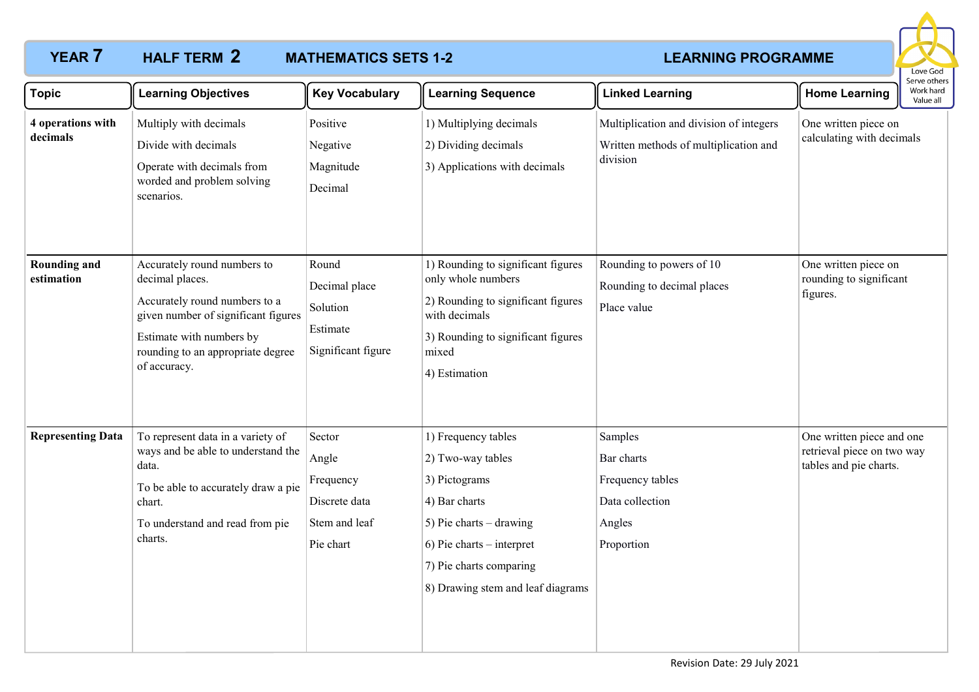

| <b>Topic</b>                      | <b>Learning Objectives</b>                                                                                                                                                                              | <b>Key Vocabulary</b>                                                       | <b>Learning Sequence</b>                                                                                                                                                                               | <b>Linked Learning</b>                                                                       | <b>Home Learning</b>                                                              | Serve others<br>Work hard<br>Value all |
|-----------------------------------|---------------------------------------------------------------------------------------------------------------------------------------------------------------------------------------------------------|-----------------------------------------------------------------------------|--------------------------------------------------------------------------------------------------------------------------------------------------------------------------------------------------------|----------------------------------------------------------------------------------------------|-----------------------------------------------------------------------------------|----------------------------------------|
| 4 operations with<br>decimals     | Multiply with decimals<br>Divide with decimals<br>Operate with decimals from<br>worded and problem solving<br>scenarios.                                                                                | Positive<br>Negative<br>Magnitude<br>Decimal                                | 1) Multiplying decimals<br>2) Dividing decimals<br>3) Applications with decimals                                                                                                                       | Multiplication and division of integers<br>Written methods of multiplication and<br>division | One written piece on<br>calculating with decimals                                 |                                        |
| <b>Rounding and</b><br>estimation | Accurately round numbers to<br>decimal places.<br>Accurately round numbers to a<br>given number of significant figures<br>Estimate with numbers by<br>rounding to an appropriate degree<br>of accuracy. | Round<br>Decimal place<br>Solution<br>Estimate<br>Significant figure        | 1) Rounding to significant figures<br>only whole numbers<br>2) Rounding to significant figures<br>with decimals<br>3) Rounding to significant figures<br>mixed<br>4) Estimation                        | Rounding to powers of 10<br>Rounding to decimal places<br>Place value                        | One written piece on<br>rounding to significant<br>figures.                       |                                        |
| <b>Representing Data</b>          | To represent data in a variety of<br>ways and be able to understand the<br>data.<br>To be able to accurately draw a pie<br>chart.<br>To understand and read from pie<br>charts.                         | Sector<br>Angle<br>Frequency<br>Discrete data<br>Stem and leaf<br>Pie chart | 1) Frequency tables<br>2) Two-way tables<br>3) Pictograms<br>4) Bar charts<br>5) Pie charts $-$ drawing<br>$6)$ Pie charts – interpret<br>7) Pie charts comparing<br>8) Drawing stem and leaf diagrams | Samples<br>Bar charts<br>Frequency tables<br>Data collection<br>Angles<br>Proportion         | One written piece and one<br>retrieval piece on two way<br>tables and pie charts. |                                        |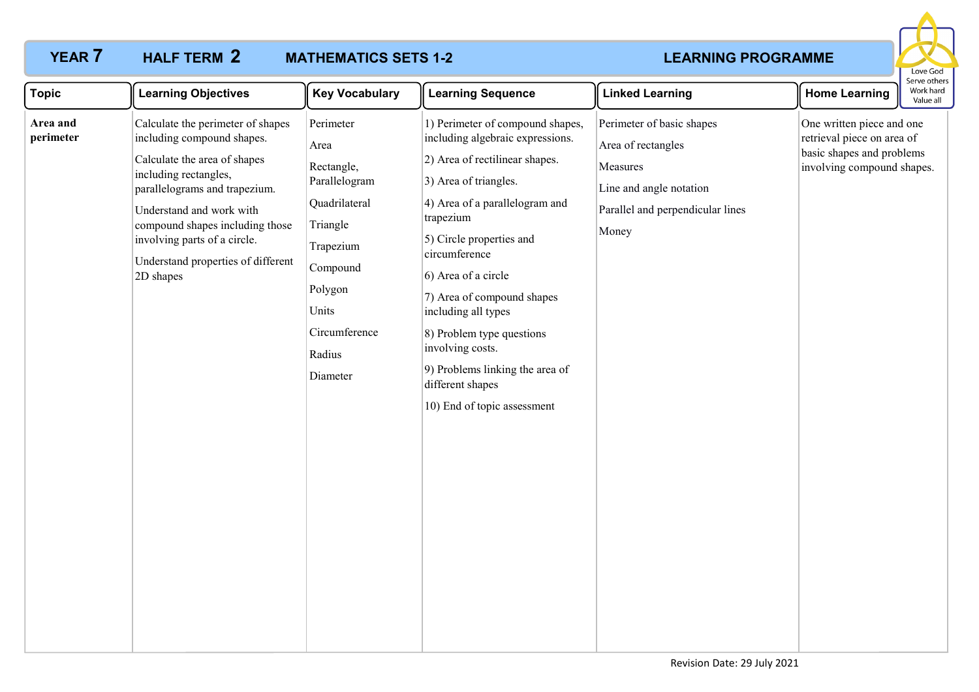

| <b>Topic</b>          | <b>Learning Objectives</b>                                                                                                                                                                                                                                                                                  | <b>Key Vocabulary</b>                                                                                                                                             | <b>Learning Sequence</b>                                                                                                                                                                                                                                                                                                                                                                                                                       | <b>Linked Learning</b>                                                                                                              | <b>Home Learning</b>                                                                                               | Work hard<br>Value all |
|-----------------------|-------------------------------------------------------------------------------------------------------------------------------------------------------------------------------------------------------------------------------------------------------------------------------------------------------------|-------------------------------------------------------------------------------------------------------------------------------------------------------------------|------------------------------------------------------------------------------------------------------------------------------------------------------------------------------------------------------------------------------------------------------------------------------------------------------------------------------------------------------------------------------------------------------------------------------------------------|-------------------------------------------------------------------------------------------------------------------------------------|--------------------------------------------------------------------------------------------------------------------|------------------------|
| Area and<br>perimeter | Calculate the perimeter of shapes<br>including compound shapes.<br>Calculate the area of shapes<br>including rectangles,<br>parallelograms and trapezium.<br>Understand and work with<br>compound shapes including those<br>involving parts of a circle.<br>Understand properties of different<br>2D shapes | Perimeter<br>Area<br>Rectangle,<br>Parallelogram<br>Quadrilateral<br>Triangle<br>Trapezium<br>Compound<br>Polygon<br>Units<br>Circumference<br>Radius<br>Diameter | 1) Perimeter of compound shapes,<br>including algebraic expressions.<br>2) Area of rectilinear shapes.<br>3) Area of triangles.<br>4) Area of a parallelogram and<br>trapezium<br>5) Circle properties and<br>circumference<br>6) Area of a circle<br>7) Area of compound shapes<br>including all types<br>8) Problem type questions<br>involving costs.<br>9) Problems linking the area of<br>different shapes<br>10) End of topic assessment | Perimeter of basic shapes<br>Area of rectangles<br>Measures<br>Line and angle notation<br>Parallel and perpendicular lines<br>Money | One written piece and one<br>retrieval piece on area of<br>basic shapes and problems<br>involving compound shapes. |                        |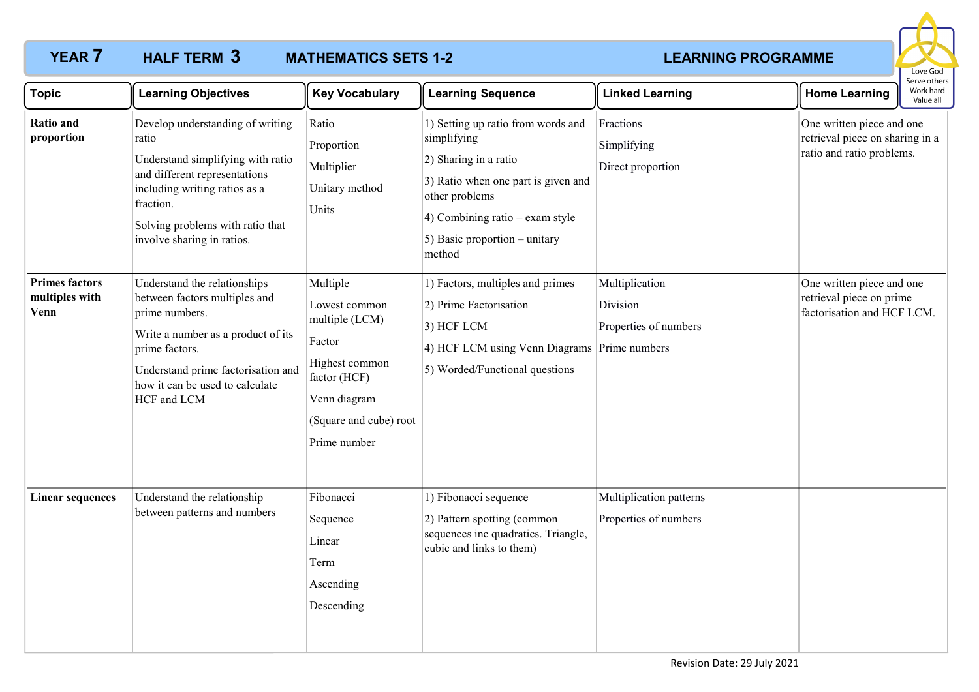

| <b>Topic</b>                                    | <b>Learning Objectives</b>                                                                                                                                                                                                      | <b>Key Vocabulary</b>                                                                                                                             | <b>Learning Sequence</b>                                                                                                                                                                                          | <b>Linked Learning</b>                              | <b>Home Learning</b>                                                                      | Serve others<br>Work hard<br>Value all |
|-------------------------------------------------|---------------------------------------------------------------------------------------------------------------------------------------------------------------------------------------------------------------------------------|---------------------------------------------------------------------------------------------------------------------------------------------------|-------------------------------------------------------------------------------------------------------------------------------------------------------------------------------------------------------------------|-----------------------------------------------------|-------------------------------------------------------------------------------------------|----------------------------------------|
| Ratio and<br>proportion                         | Develop understanding of writing<br>ratio<br>Understand simplifying with ratio<br>and different representations<br>including writing ratios as a<br>fraction.<br>Solving problems with ratio that<br>involve sharing in ratios. | Ratio<br>Proportion<br>Multiplier<br>Unitary method<br>Units                                                                                      | 1) Setting up ratio from words and<br>simplifying<br>2) Sharing in a ratio<br>3) Ratio when one part is given and<br>other problems<br>4) Combining ratio – exam style<br>5) Basic proportion - unitary<br>method | Fractions<br>Simplifying<br>Direct proportion       | One written piece and one<br>retrieval piece on sharing in a<br>ratio and ratio problems. |                                        |
| <b>Primes factors</b><br>multiples with<br>Venn | Understand the relationships<br>between factors multiples and<br>prime numbers.<br>Write a number as a product of its<br>prime factors.<br>Understand prime factorisation and<br>how it can be used to calculate<br>HCF and LCM | Multiple<br>Lowest common<br>multiple (LCM)<br>Factor<br>Highest common<br>factor (HCF)<br>Venn diagram<br>(Square and cube) root<br>Prime number | 1) Factors, multiples and primes<br>2) Prime Factorisation<br>3) HCF LCM<br>4) HCF LCM using Venn Diagrams Prime numbers<br>5) Worded/Functional questions                                                        | Multiplication<br>Division<br>Properties of numbers | One written piece and one<br>retrieval piece on prime<br>factorisation and HCF LCM.       |                                        |
| <b>Linear sequences</b>                         | Understand the relationship<br>between patterns and numbers                                                                                                                                                                     | Fibonacci<br>Sequence<br>Linear<br>Term<br>Ascending<br>Descending                                                                                | 1) Fibonacci sequence<br>2) Pattern spotting (common<br>sequences inc quadratics. Triangle,<br>cubic and links to them)                                                                                           | Multiplication patterns<br>Properties of numbers    |                                                                                           |                                        |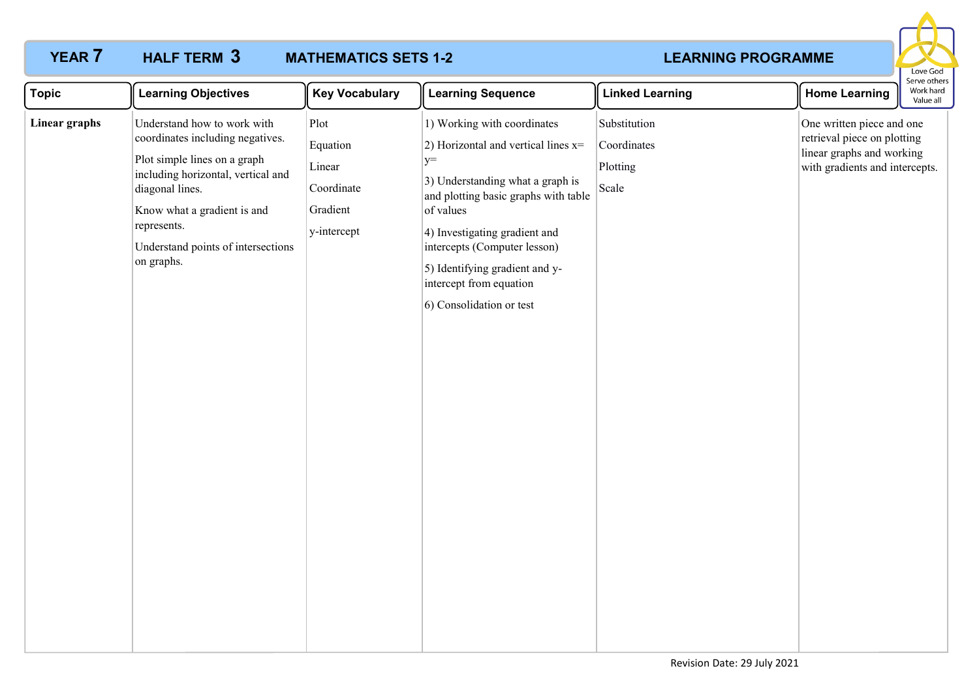### **YEAR 7 HALF TERM 3 MATHEMATICS SETS 1-2 THEARNING PROGRAMME MATHEMATICS SETS 1-2** HALF TERM 3



| <b>Topic</b>  | <b>Learning Objectives</b>                                                                                                                                                                                                                                 | <b>Key Vocabulary</b>                                               | <b>Learning Sequence</b>                                                                                                                                                                                                                                                                                                        | <b>Linked Learning</b>                           | <b>Home Learning</b>                                                                                                    | ואווס אופ<br>Work hard<br>Value all |
|---------------|------------------------------------------------------------------------------------------------------------------------------------------------------------------------------------------------------------------------------------------------------------|---------------------------------------------------------------------|---------------------------------------------------------------------------------------------------------------------------------------------------------------------------------------------------------------------------------------------------------------------------------------------------------------------------------|--------------------------------------------------|-------------------------------------------------------------------------------------------------------------------------|-------------------------------------|
| Linear graphs | Understand how to work with<br>coordinates including negatives.<br>Plot simple lines on a graph<br>including horizontal, vertical and<br>diagonal lines.<br>Know what a gradient is and<br>represents.<br>Understand points of intersections<br>on graphs. | Plot<br>Equation<br>Linear<br>Coordinate<br>Gradient<br>y-intercept | 1) Working with coordinates<br>2) Horizontal and vertical lines $x=$<br>$y=$<br>3) Understanding what a graph is<br>and plotting basic graphs with table<br>of values<br>4) Investigating gradient and<br>intercepts (Computer lesson)<br>5) Identifying gradient and y-<br>intercept from equation<br>6) Consolidation or test | Substitution<br>Coordinates<br>Plotting<br>Scale | One written piece and one<br>retrieval piece on plotting<br>linear graphs and working<br>with gradients and intercepts. |                                     |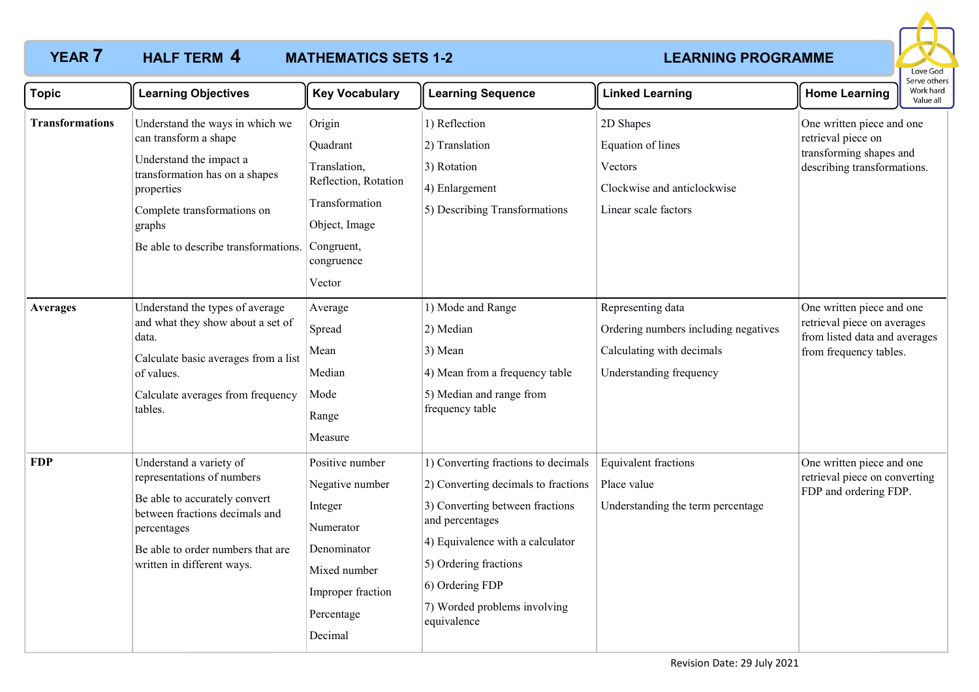

| <b>Topic</b>           | <b>Learning Objectives</b>                                                                                                                                                                                           | <b>Key Vocabulary</b>                                                                                                                   | <b>Learning Sequence</b>                                                                                                                                                                                                                                        | <b>Linked Learning</b>                                                                                            | <b>Home Learning</b>                                                                                                | בו אב חווכו א<br>Work hard<br>Value all |
|------------------------|----------------------------------------------------------------------------------------------------------------------------------------------------------------------------------------------------------------------|-----------------------------------------------------------------------------------------------------------------------------------------|-----------------------------------------------------------------------------------------------------------------------------------------------------------------------------------------------------------------------------------------------------------------|-------------------------------------------------------------------------------------------------------------------|---------------------------------------------------------------------------------------------------------------------|-----------------------------------------|
| <b>Transformations</b> | Understand the ways in which we<br>can transform a shape<br>Understand the impact a<br>transformation has on a shapes<br>properties<br>Complete transformations on<br>graphs<br>Be able to describe transformations. | Origin<br>Quadrant<br>Translation,<br>Reflection, Rotation<br>Transformation<br>Object, Image<br>Congruent,<br>congruence<br>Vector     | 1) Reflection<br>2) Translation<br>3) Rotation<br>4) Enlargement<br>5) Describing Transformations                                                                                                                                                               | 2D Shapes<br>Equation of lines<br>Vectors<br>Clockwise and anticlockwise<br>Linear scale factors                  | One written piece and one<br>retrieval piece on<br>transforming shapes and<br>describing transformations.           |                                         |
| <b>Averages</b>        | Understand the types of average<br>and what they show about a set of<br>data.<br>Calculate basic averages from a list<br>of values.<br>Calculate averages from frequency<br>tables.                                  | Average<br>Spread<br>Mean<br>Median<br>Mode<br>Range<br>Measure                                                                         | 1) Mode and Range<br>2) Median<br>$3)$ Mean<br>4) Mean from a frequency table<br>5) Median and range from<br>frequency table                                                                                                                                    | Representing data<br>Ordering numbers including negatives<br>Calculating with decimals<br>Understanding frequency | One written piece and one<br>retrieval piece on averages<br>from listed data and averages<br>from frequency tables. |                                         |
| <b>FDP</b>             | Understand a variety of<br>representations of numbers<br>Be able to accurately convert<br>between fractions decimals and<br>percentages<br>Be able to order numbers that are<br>written in different ways.           | Positive number<br>Negative number<br>Integer<br>Numerator<br>Denominator<br>Mixed number<br>Improper fraction<br>Percentage<br>Decimal | 1) Converting fractions to decimals<br>2) Converting decimals to fractions<br>3) Converting between fractions<br>and percentages<br>4) Equivalence with a calculator<br>5) Ordering fractions<br>6) Ordering FDP<br>7) Worded problems involving<br>equivalence | <b>Equivalent fractions</b><br>Place value<br>Understanding the term percentage                                   | One written piece and one<br>retrieval piece on converting<br>FDP and ordering FDP.                                 |                                         |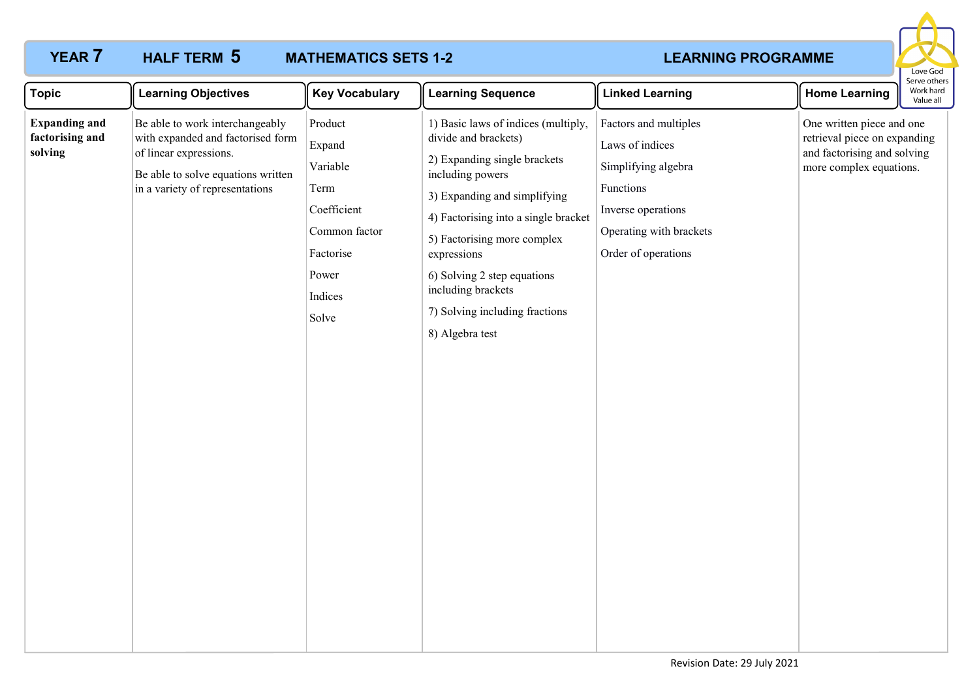

| <b>Topic</b>                                       | <b>Learning Objectives</b>                                                                                                                                              | <b>Key Vocabulary</b>                                                                                           | <b>Learning Sequence</b>                                                                                                                                                                                                                                                                                                                        | <b>Linked Learning</b>                                                                                                                               | <b>Home Learning</b>                                                                                                | Work hard<br>Value all |
|----------------------------------------------------|-------------------------------------------------------------------------------------------------------------------------------------------------------------------------|-----------------------------------------------------------------------------------------------------------------|-------------------------------------------------------------------------------------------------------------------------------------------------------------------------------------------------------------------------------------------------------------------------------------------------------------------------------------------------|------------------------------------------------------------------------------------------------------------------------------------------------------|---------------------------------------------------------------------------------------------------------------------|------------------------|
| <b>Expanding and</b><br>factorising and<br>solving | Be able to work interchangeably<br>with expanded and factorised form<br>of linear expressions.<br>Be able to solve equations written<br>in a variety of representations | Product<br>Expand<br>Variable<br>Term<br>Coefficient<br>Common factor<br>Factorise<br>Power<br>Indices<br>Solve | 1) Basic laws of indices (multiply,<br>divide and brackets)<br>2) Expanding single brackets<br>including powers<br>3) Expanding and simplifying<br>4) Factorising into a single bracket<br>5) Factorising more complex<br>expressions<br>6) Solving 2 step equations<br>including brackets<br>7) Solving including fractions<br>8) Algebra test | Factors and multiples<br>Laws of indices<br>Simplifying algebra<br>Functions<br>Inverse operations<br>Operating with brackets<br>Order of operations | One written piece and one<br>retrieval piece on expanding<br>and factorising and solving<br>more complex equations. |                        |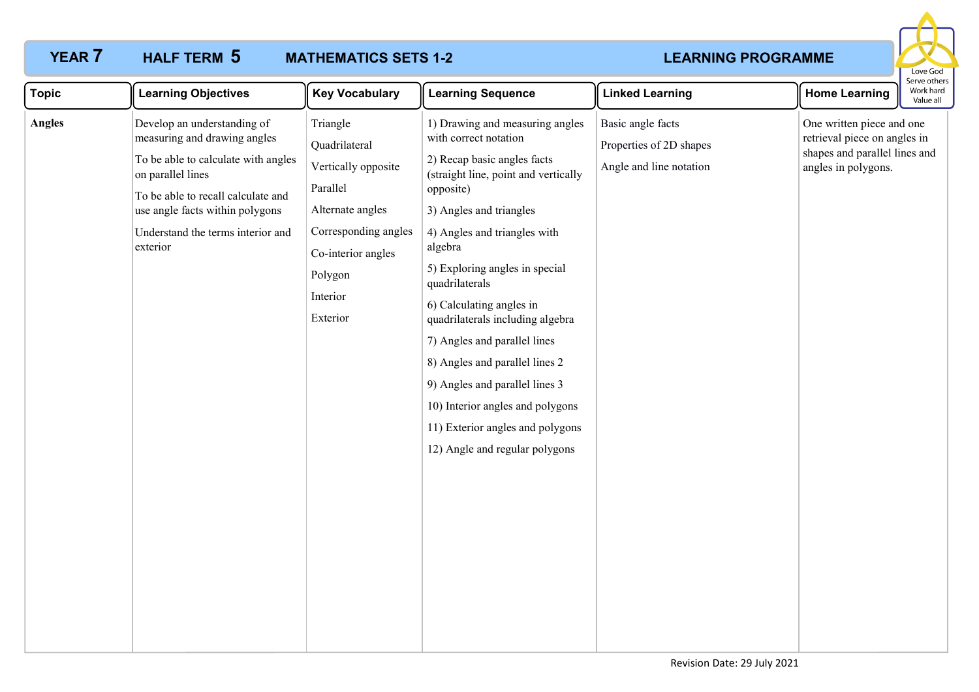### **YEAR 7 HALF TERM 5 MATHEMATICS SETS 1-2 THEARNING PROGRAMME MATHEMATICS SETS 1-2 5**



| <b>Topic</b>  | <b>Learning Objectives</b>                                                                                                                                                                                                                        | <b>Key Vocabulary</b>                                                                                                                                             | <b>Learning Sequence</b>                                                                                                                                                                                                                                                                                                                                                                                                                                                                                                                             | <b>Linked Learning</b>                                                  | <b>Home Learning</b>                                                                                              | Serve other<br>Work hard<br>Value all |
|---------------|---------------------------------------------------------------------------------------------------------------------------------------------------------------------------------------------------------------------------------------------------|-------------------------------------------------------------------------------------------------------------------------------------------------------------------|------------------------------------------------------------------------------------------------------------------------------------------------------------------------------------------------------------------------------------------------------------------------------------------------------------------------------------------------------------------------------------------------------------------------------------------------------------------------------------------------------------------------------------------------------|-------------------------------------------------------------------------|-------------------------------------------------------------------------------------------------------------------|---------------------------------------|
| <b>Angles</b> | Develop an understanding of<br>measuring and drawing angles<br>To be able to calculate with angles<br>on parallel lines<br>To be able to recall calculate and<br>use angle facts within polygons<br>Understand the terms interior and<br>exterior | Triangle<br>Quadrilateral<br>Vertically opposite<br>Parallel<br>Alternate angles<br>Corresponding angles<br>Co-interior angles<br>Polygon<br>Interior<br>Exterior | 1) Drawing and measuring angles<br>with correct notation<br>2) Recap basic angles facts<br>(straight line, point and vertically<br>opposite)<br>3) Angles and triangles<br>4) Angles and triangles with<br>algebra<br>5) Exploring angles in special<br>quadrilaterals<br>6) Calculating angles in<br>quadrilaterals including algebra<br>7) Angles and parallel lines<br>8) Angles and parallel lines 2<br>9) Angles and parallel lines 3<br>10) Interior angles and polygons<br>11) Exterior angles and polygons<br>12) Angle and regular polygons | Basic angle facts<br>Properties of 2D shapes<br>Angle and line notation | One written piece and one<br>retrieval piece on angles in<br>shapes and parallel lines and<br>angles in polygons. |                                       |